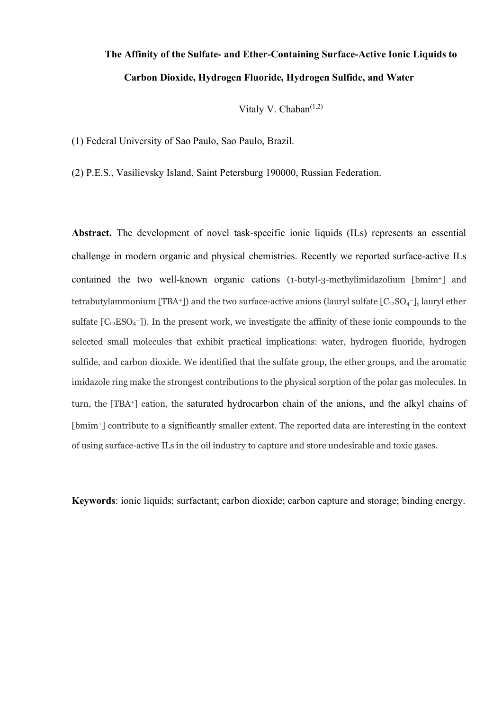# **The Affinity of the Sulfate- and Ether-Containing Surface-Active Ionic Liquids to Carbon Dioxide, Hydrogen Fluoride, Hydrogen Sulfide, and Water**

Vitaly V. Chaban $(1,2)$ 

(1) Federal University of Sao Paulo, Sao Paulo, Brazil.

(2) P.E.S., Vasilievsky Island, Saint Petersburg 190000, Russian Federation.

**Abstract.** The development of novel task-specific ionic liquids (ILs) represents an essential challenge in modern organic and physical chemistries. Recently we reported surface-active ILs contained the two well-known organic cations (1-butyl-3-methylimidazolium [bmim<sup>+</sup>] and tetrabutylammonium [TBA+]) and the two surface-active anions (lauryl sulfate [C $_{12}$ SO<sub>4</sub>-], lauryl ether sulfate  $[C_{12}ESO_4$ <sup>-</sup>]). In the present work, we investigate the affinity of these ionic compounds to the selected small molecules that exhibit practical implications: water, hydrogen fluoride, hydrogen sulfide, and carbon dioxide. We identified that the sulfate group, the ether groups, and the aromatic imidazole ring make the strongest contributions to the physical sorption of the polar gas molecules. In turn, the [TBA<sup>+</sup>] cation, the saturated hydrocarbon chain of the anions, and the alkyl chains of [bmim<sup>+</sup>] contribute to a significantly smaller extent. The reported data are interesting in the context of using surface-active ILs in the oil industry to capture and store undesirable and toxic gases.

**Keywords**: ionic liquids; surfactant; carbon dioxide; carbon capture and storage; binding energy.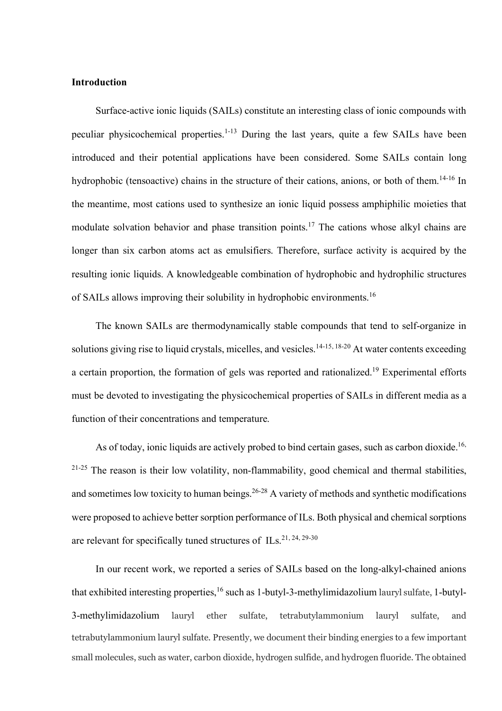## **Introduction**

Surface-active ionic liquids (SAILs) constitute an interesting class of ionic compounds with peculiar physicochemical properties.<sup>1-13</sup> During the last years, quite a few SAILs have been introduced and their potential applications have been considered. Some SAILs contain long hydrophobic (tensoactive) chains in the structure of their cations, anions, or both of them.<sup>14-16</sup> In the meantime, most cations used to synthesize an ionic liquid possess amphiphilic moieties that modulate solvation behavior and phase transition points.<sup>17</sup> The cations whose alkyl chains are longer than six carbon atoms act as emulsifiers. Therefore, surface activity is acquired by the resulting ionic liquids. A knowledgeable combination of hydrophobic and hydrophilic structures of SAILs allows improving their solubility in hydrophobic environments.<sup>16</sup>

The known SAILs are thermodynamically stable compounds that tend to self-organize in solutions giving rise to liquid crystals, micelles, and vesicles.<sup>14-15, 18-20</sup> At water contents exceeding a certain proportion, the formation of gels was reported and rationalized.<sup>19</sup> Experimental efforts must be devoted to investigating the physicochemical properties of SAILs in different media as a function of their concentrations and temperature.

As of today, ionic liquids are actively probed to bind certain gases, such as carbon dioxide.<sup>16,</sup> <sup>21-25</sup> The reason is their low volatility, non-flammability, good chemical and thermal stabilities, and sometimes low toxicity to human beings.<sup>26-28</sup> A variety of methods and synthetic modifications were proposed to achieve better sorption performance of ILs. Both physical and chemical sorptions are relevant for specifically tuned structures of ILs.<sup>21, 24, 29-30</sup>

In our recent work, we reported a series of SAILs based on the long-alkyl-chained anions that exhibited interesting properties, <sup>16</sup> such as 1-butyl-3-methylimidazolium lauryl sulfate, 1-butyl-3-methylimidazolium lauryl ether sulfate, tetrabutylammonium lauryl sulfate, and tetrabutylammonium lauryl sulfate. Presently, we document their binding energies to a few important small molecules, such as water, carbon dioxide, hydrogen sulfide, and hydrogen fluoride. The obtained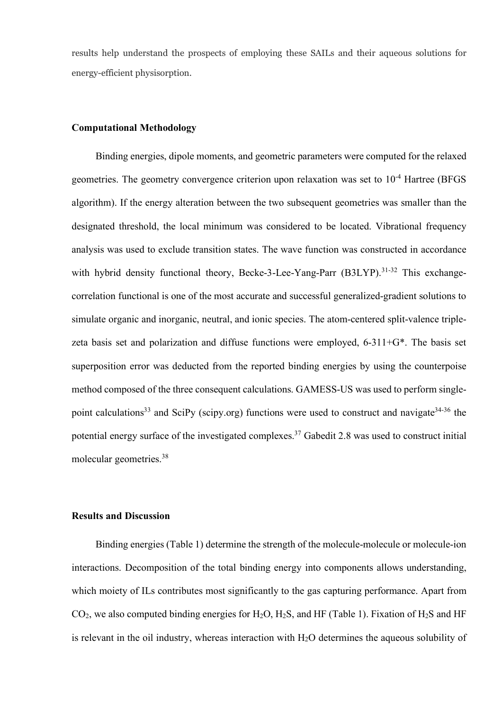results help understand the prospects of employing these SAILs and their aqueous solutions for energy-efficient physisorption.

## **Computational Methodology**

Binding energies, dipole moments, and geometric parameters were computed for the relaxed geometries. The geometry convergence criterion upon relaxation was set to  $10^{-4}$  Hartree (BFGS algorithm). If the energy alteration between the two subsequent geometries was smaller than the designated threshold, the local minimum was considered to be located. Vibrational frequency analysis was used to exclude transition states. The wave function was constructed in accordance with hybrid density functional theory, Becke-3-Lee-Yang-Parr (B3LYP).<sup>31-32</sup> This exchangecorrelation functional is one of the most accurate and successful generalized-gradient solutions to simulate organic and inorganic, neutral, and ionic species. The atom-centered split-valence triplezeta basis set and polarization and diffuse functions were employed, 6-311+G\*. The basis set superposition error was deducted from the reported binding energies by using the counterpoise method composed of the three consequent calculations. GAMESS-US was used to perform singlepoint calculations<sup>33</sup> and SciPy (scipy.org) functions were used to construct and navigate<sup>34-36</sup> the potential energy surface of the investigated complexes.<sup>37</sup> Gabedit 2.8 was used to construct initial molecular geometries.<sup>38</sup>

# **Results and Discussion**

Binding energies (Table 1) determine the strength of the molecule-molecule or molecule-ion interactions. Decomposition of the total binding energy into components allows understanding, which moiety of ILs contributes most significantly to the gas capturing performance. Apart from  $CO<sub>2</sub>$ , we also computed binding energies for H<sub>2</sub>O, H<sub>2</sub>S, and HF (Table 1). Fixation of H<sub>2</sub>S and HF is relevant in the oil industry, whereas interaction with  $H<sub>2</sub>O$  determines the aqueous solubility of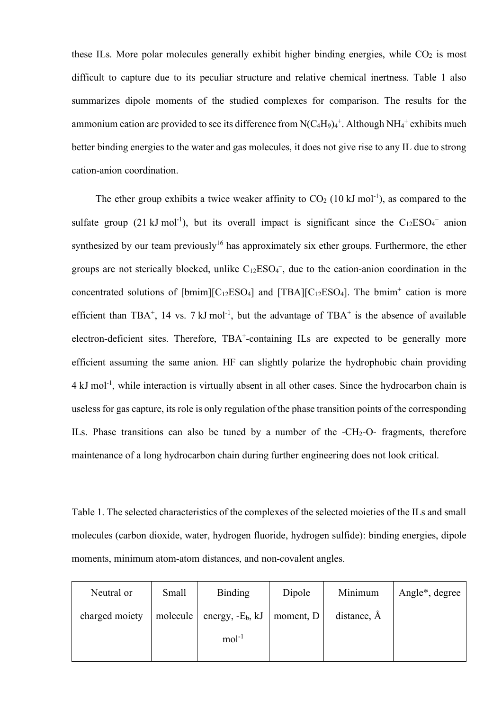these ILs. More polar molecules generally exhibit higher binding energies, while  $CO<sub>2</sub>$  is most difficult to capture due to its peculiar structure and relative chemical inertness. Table 1 also summarizes dipole moments of the studied complexes for comparison. The results for the ammonium cation are provided to see its difference from  $N(C_4H_9)_4^+$ . Although  $NH_4^+$  exhibits much better binding energies to the water and gas molecules, it does not give rise to any IL due to strong cation-anion coordination.

The ether group exhibits a twice weaker affinity to  $CO<sub>2</sub>$  (10 kJ mol<sup>-1</sup>), as compared to the sulfate group (21 kJ mol<sup>-1</sup>), but its overall impact is significant since the  $C_{12}ESO<sub>4</sub>$  anion synthesized by our team previously<sup>16</sup> has approximately six ether groups. Furthermore, the ether groups are not sterically blocked, unlike  $C_{12}ESO<sub>4</sub>$ , due to the cation-anion coordination in the concentrated solutions of [bmim][ $C_{12}ESO_4$ ] and [TBA][ $C_{12}ESO_4$ ]. The bmim<sup>+</sup> cation is more efficient than TBA<sup>+</sup>, 14 vs. 7 kJ mol<sup>-1</sup>, but the advantage of TBA<sup>+</sup> is the absence of available electron-deficient sites. Therefore, TBA<sup>+</sup>-containing ILs are expected to be generally more efficient assuming the same anion. HF can slightly polarize the hydrophobic chain providing 4 kJ mol<sup>-1</sup>, while interaction is virtually absent in all other cases. Since the hydrocarbon chain is useless for gas capture, its role is only regulation of the phase transition points of the corresponding ILs. Phase transitions can also be tuned by a number of the  $-CH_2-O-$  fragments, therefore maintenance of a long hydrocarbon chain during further engineering does not look critical.

Table 1. The selected characteristics of the complexes of the selected moieties of the ILs and small molecules (carbon dioxide, water, hydrogen fluoride, hydrogen sulfide): binding energies, dipole moments, minimum atom-atom distances, and non-covalent angles.

| Neutral or     | Small    | <b>Binding</b>      | Dipole    | Minimum     | Angle <sup>*</sup> , degree |
|----------------|----------|---------------------|-----------|-------------|-----------------------------|
| charged moiety | molecule | energy, $-E_b$ , kJ | moment, D | distance, Å |                             |
|                |          | $mol-1$             |           |             |                             |
|                |          |                     |           |             |                             |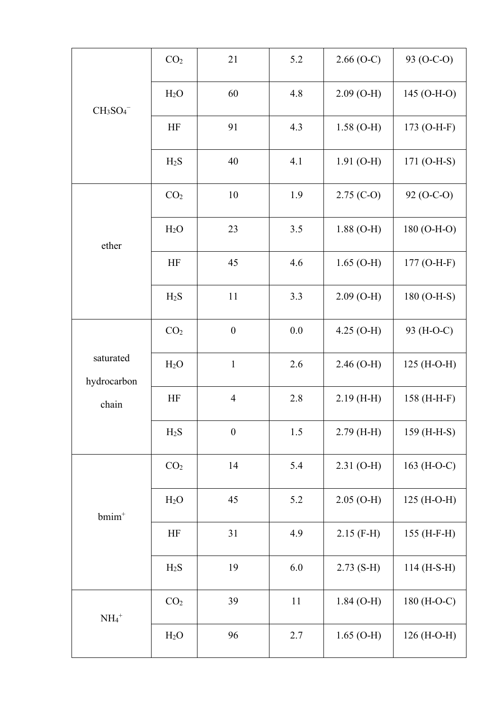| $CH3SO4-$                         | CO <sub>2</sub>  | 21               | 5.2 | $2.66$ (O-C) | 93 (O-C-O)   |
|-----------------------------------|------------------|------------------|-----|--------------|--------------|
|                                   | H <sub>2</sub> O | 60               | 4.8 | $2.09$ (O-H) | 145 (O-H-O)  |
|                                   | HF               | 91               | 4.3 | $1.58(O-H)$  | 173 (O-H-F)  |
|                                   | $H_2S$           | 40               | 4.1 | $1.91$ (O-H) | 171 (O-H-S)  |
| ether                             | CO <sub>2</sub>  | 10               | 1.9 | $2.75$ (C-O) | 92 (O-C-O)   |
|                                   | H <sub>2</sub> O | 23               | 3.5 | $1.88$ (O-H) | 180 (O-H-O)  |
|                                   | HF               | 45               | 4.6 | $1.65$ (O-H) | 177 (O-H-F)  |
|                                   | H <sub>2</sub> S | 11               | 3.3 | $2.09(O-H)$  | 180 (O-H-S)  |
| saturated<br>hydrocarbon<br>chain | CO <sub>2</sub>  | $\boldsymbol{0}$ | 0.0 | $4.25$ (O-H) | 93 (H-O-C)   |
|                                   | H <sub>2</sub> O | $\mathbf{1}$     | 2.6 | $2.46$ (O-H) | 125 (H-O-H)  |
|                                   | HF               | $\overline{4}$   | 2.8 | $2.19$ (H-H) | 158 (H-H-F)  |
|                                   | $H_2S$           | $\boldsymbol{0}$ | 1.5 | $2.79$ (H-H) | 159 (H-H-S)  |
| $bmin+$                           | CO <sub>2</sub>  | 14               | 5.4 | $2.31$ (O-H) | 163 (H-O-C)  |
|                                   | H <sub>2</sub> O | 45               | 5.2 | $2.05$ (O-H) | $125(H-O-H)$ |
|                                   | HF               | 31               | 4.9 | $2.15$ (F-H) | 155 (H-F-H)  |
|                                   | $H_2S$           | 19               | 6.0 | $2.73(S-H)$  | 114 (H-S-H)  |
| $\mathrm{NH_4}^+$                 | CO <sub>2</sub>  | 39               | 11  | $1.84$ (O-H) | 180 (H-O-C)  |
|                                   | H <sub>2</sub> O | 96               | 2.7 | $1.65$ (O-H) | 126 (H-O-H)  |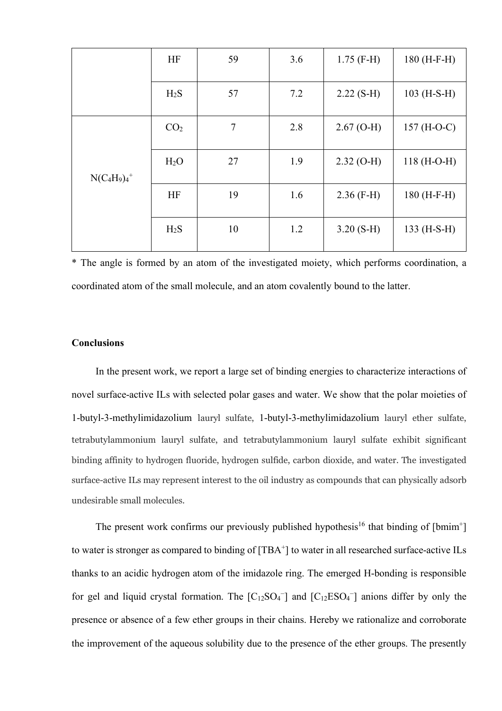|                 | HF               | 59             | 3.6 | $1.75$ (F-H) | $180$ (H-F-H) |
|-----------------|------------------|----------------|-----|--------------|---------------|
|                 | $H_2S$           | 57             | 7.2 | $2.22$ (S-H) | $103$ (H-S-H) |
| $N(C_4H_9)_4^+$ | CO <sub>2</sub>  | $\overline{7}$ | 2.8 | $2.67$ (O-H) | 157 $(H-O-C)$ |
|                 | H <sub>2</sub> O | 27             | 1.9 | $2.32$ (O-H) | $118(H-O-H)$  |
|                 | HF               | 19             | 1.6 | $2.36$ (F-H) | $180$ (H-F-H) |
|                 | H <sub>2</sub> S | 10             | 1.2 | $3.20(S-H)$  | $133$ (H-S-H) |

\* The angle is formed by an atom of the investigated moiety, which performs coordination, a coordinated atom of the small molecule, and an atom covalently bound to the latter.

#### **Conclusions**

In the present work, we report a large set of binding energies to characterize interactions of novel surface-active ILs with selected polar gases and water. We show that the polar moieties of 1-butyl-3-methylimidazolium lauryl sulfate, 1-butyl-3-methylimidazolium lauryl ether sulfate, tetrabutylammonium lauryl sulfate, and tetrabutylammonium lauryl sulfate exhibit significant binding affinity to hydrogen fluoride, hydrogen sulfide, carbon dioxide, and water. The investigated surface-active ILs may represent interest to the oil industry as compounds that can physically adsorb undesirable small molecules.

The present work confirms our previously published hypothesis<sup>16</sup> that binding of [bmim<sup>+</sup>] to water is stronger as compared to binding of [TBA<sup>+</sup>] to water in all researched surface-active ILs thanks to an acidic hydrogen atom of the imidazole ring. The emerged H-bonding is responsible for gel and liquid crystal formation. The  $[C_{12}SO_4]$  and  $[C_{12}ESO_4]$  anions differ by only the presence or absence of a few ether groups in their chains. Hereby we rationalize and corroborate the improvement of the aqueous solubility due to the presence of the ether groups. The presently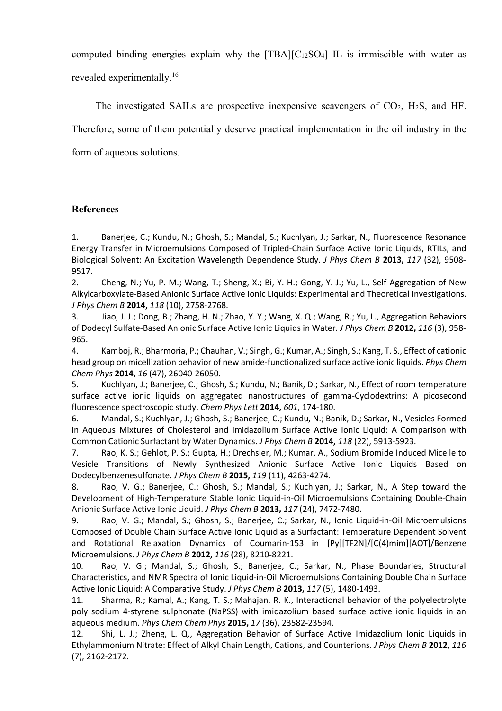computed binding energies explain why the  $[TBA][C_{12}SO_4]$  IL is immiscible with water as revealed experimentally.<sup>16</sup>

The investigated SAILs are prospective inexpensive scavengers of  $CO<sub>2</sub>$ , H<sub>2</sub>S, and HF. Therefore, some of them potentially deserve practical implementation in the oil industry in the form of aqueous solutions.

# **References**

1. Banerjee, C.; Kundu, N.; Ghosh, S.; Mandal, S.; Kuchlyan, J.; Sarkar, N., Fluorescence Resonance Energy Transfer in Microemulsions Composed of Tripled-Chain Surface Active Ionic Liquids, RTILs, and Biological Solvent: An Excitation Wavelength Dependence Study. *J Phys Chem B* **2013,** *117* (32), 9508- 9517.

2. Cheng, N.; Yu, P. M.; Wang, T.; Sheng, X.; Bi, Y. H.; Gong, Y. J.; Yu, L., Self-Aggregation of New Alkylcarboxylate-Based Anionic Surface Active Ionic Liquids: Experimental and Theoretical Investigations. *J Phys Chem B* **2014,** *118* (10), 2758-2768.

3. Jiao, J. J.; Dong, B.; Zhang, H. N.; Zhao, Y. Y.; Wang, X. Q.; Wang, R.; Yu, L., Aggregation Behaviors of Dodecyl Sulfate-Based Anionic Surface Active Ionic Liquids in Water. *J Phys Chem B* **2012,** *116* (3), 958- 965.

4. Kamboj, R.; Bharmoria, P.; Chauhan, V.; Singh, G.; Kumar, A.; Singh, S.; Kang, T. S., Effect of cationic head group on micellization behavior of new amide-functionalized surface active ionic liquids. *Phys Chem Chem Phys* **2014,** *16* (47), 26040-26050.

5. Kuchlyan, J.; Banerjee, C.; Ghosh, S.; Kundu, N.; Banik, D.; Sarkar, N., Effect of room temperature surface active ionic liquids on aggregated nanostructures of gamma-Cyclodextrins: A picosecond fluorescence spectroscopic study. *Chem Phys Lett* **2014,** *601*, 174-180.

6. Mandal, S.; Kuchlyan, J.; Ghosh, S.; Banerjee, C.; Kundu, N.; Banik, D.; Sarkar, N., Vesicles Formed in Aqueous Mixtures of Cholesterol and Imidazolium Surface Active Ionic Liquid: A Comparison with Common Cationic Surfactant by Water Dynamics. *J Phys Chem B* **2014,** *118* (22), 5913-5923.

7. Rao, K. S.; Gehlot, P. S.; Gupta, H.; Drechsler, M.; Kumar, A., Sodium Bromide Induced Micelle to Vesicle Transitions of Newly Synthesized Anionic Surface Active Ionic Liquids Based on Dodecylbenzenesulfonate. *J Phys Chem B* **2015,** *119* (11), 4263-4274.

8. Rao, V. G.; Banerjee, C.; Ghosh, S.; Mandal, S.; Kuchlyan, J.; Sarkar, N., A Step toward the Development of High-Temperature Stable Ionic Liquid-in-Oil Microemulsions Containing Double-Chain Anionic Surface Active Ionic Liquid. *J Phys Chem B* **2013,** *117* (24), 7472-7480.

9. Rao, V. G.; Mandal, S.; Ghosh, S.; Banerjee, C.; Sarkar, N., Ionic Liquid-in-Oil Microemulsions Composed of Double Chain Surface Active Ionic Liquid as a Surfactant: Temperature Dependent Solvent and Rotational Relaxation Dynamics of Coumarin-153 in [Py][TF2N]/[C(4)mim][AOT]/Benzene Microemulsions. *J Phys Chem B* **2012,** *116* (28), 8210-8221.

10. Rao, V. G.; Mandal, S.; Ghosh, S.; Banerjee, C.; Sarkar, N., Phase Boundaries, Structural Characteristics, and NMR Spectra of Ionic Liquid-in-Oil Microemulsions Containing Double Chain Surface Active Ionic Liquid: A Comparative Study. *J Phys Chem B* **2013,** *117* (5), 1480-1493.

11. Sharma, R.; Kamal, A.; Kang, T. S.; Mahajan, R. K., Interactional behavior of the polyelectrolyte poly sodium 4-styrene sulphonate (NaPSS) with imidazolium based surface active ionic liquids in an aqueous medium. *Phys Chem Chem Phys* **2015,** *17* (36), 23582-23594.

12. Shi, L. J.; Zheng, L. Q., Aggregation Behavior of Surface Active Imidazolium Ionic Liquids in Ethylammonium Nitrate: Effect of Alkyl Chain Length, Cations, and Counterions. *J Phys Chem B* **2012,** *116* (7), 2162-2172.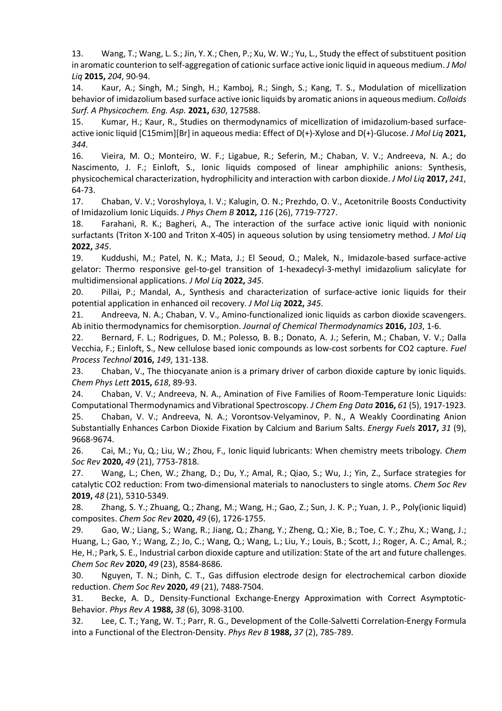13. Wang, T.; Wang, L. S.; Jin, Y. X.; Chen, P.; Xu, W. W.; Yu, L., Study the effect of substituent position in aromatic counterion to self-aggregation of cationic surface active ionic liquid in aqueous medium. *J Mol Liq* **2015,** *204*, 90-94.

14. Kaur, A.; Singh, M.; Singh, H.; Kamboj, R.; Singh, S.; Kang, T. S., Modulation of micellization behavior of imidazolium based surface active ionic liquids by aromatic anions in aqueous medium. *Colloids Surf. A Physicochem. Eng. Asp.* **2021,** *630*, 127588.

15. Kumar, H.; Kaur, R., Studies on thermodynamics of micellization of imidazolium-based surfaceactive ionic liquid [C15mim][Br] in aqueous media: Effect of D(+)-Xylose and D(+)-Glucose. *J Mol Liq* **2021,** *344*.

16. Vieira, M. O.; Monteiro, W. F.; Ligabue, R.; Seferin, M.; Chaban, V. V.; Andreeva, N. A.; do Nascimento, J. F.; Einloft, S., Ionic liquids composed of linear amphiphilic anions: Synthesis, physicochemical characterization, hydrophilicity and interaction with carbon dioxide. *J Mol Liq* **2017,** *241*, 64-73.

17. Chaban, V. V.; Voroshyloya, I. V.; Kalugin, O. N.; Prezhdo, O. V., Acetonitrile Boosts Conductivity of Imidazolium Ionic Liquids. *J Phys Chem B* **2012,** *116* (26), 7719-7727.

18. Farahani, R. K.; Bagheri, A., The interaction of the surface active ionic liquid with nonionic surfactants (Triton X-100 and Triton X-405) in aqueous solution by using tensiometry method. *J Mol Liq*  **2022,** *345*.

19. Kuddushi, M.; Patel, N. K.; Mata, J.; El Seoud, O.; Malek, N., Imidazole-based surface-active gelator: Thermo responsive gel-to-gel transition of 1-hexadecyl-3-methyl imidazolium salicylate for multidimensional applications. *J Mol Liq* **2022,** *345*.

20. Pillai, P.; Mandal, A., Synthesis and characterization of surface-active ionic liquids for their potential application in enhanced oil recovery. *J Mol Liq* **2022,** *345*.

21. Andreeva, N. A.; Chaban, V. V., Amino-functionalized ionic liquids as carbon dioxide scavengers. Ab initio thermodynamics for chemisorption. *Journal of Chemical Thermodynamics* **2016,** *103*, 1-6.

22. Bernard, F. L.; Rodrigues, D. M.; Polesso, B. B.; Donato, A. J.; Seferin, M.; Chaban, V. V.; Dalla Vecchia, F.; Einloft, S., New cellulose based ionic compounds as low-cost sorbents for CO2 capture. *Fuel Process Technol* **2016,** *149*, 131-138.

23. Chaban, V., The thiocyanate anion is a primary driver of carbon dioxide capture by ionic liquids. *Chem Phys Lett* **2015,** *618*, 89-93.

24. Chaban, V. V.; Andreeva, N. A., Amination of Five Families of Room-Temperature Ionic Liquids: Computational Thermodynamics and Vibrational Spectroscopy. *J Chem Eng Data* **2016,** *61* (5), 1917-1923.

25. Chaban, V. V.; Andreeva, N. A.; Vorontsov-Velyaminov, P. N., A Weakly Coordinating Anion Substantially Enhances Carbon Dioxide Fixation by Calcium and Barium Salts. *Energy Fuels* **2017,** *31* (9), 9668-9674.

26. Cai, M.; Yu, Q.; Liu, W.; Zhou, F., Ionic liquid lubricants: When chemistry meets tribology. *Chem Soc Rev* **2020,** *49* (21), 7753-7818.

27. Wang, L.; Chen, W.; Zhang, D.; Du, Y.; Amal, R.; Qiao, S.; Wu, J.; Yin, Z., Surface strategies for catalytic CO2 reduction: From two-dimensional materials to nanoclusters to single atoms. *Chem Soc Rev*  **2019,** *48* (21), 5310-5349.

28. Zhang, S. Y.; Zhuang, Q.; Zhang, M.; Wang, H.; Gao, Z.; Sun, J. K. P.; Yuan, J. P., Poly(ionic liquid) composites. *Chem Soc Rev* **2020,** *49* (6), 1726-1755.

29. Gao, W.; Liang, S.; Wang, R.; Jiang, Q.; Zhang, Y.; Zheng, Q.; Xie, B.; Toe, C. Y.; Zhu, X.; Wang, J.; Huang, L.; Gao, Y.; Wang, Z.; Jo, C.; Wang, Q.; Wang, L.; Liu, Y.; Louis, B.; Scott, J.; Roger, A. C.; Amal, R.; He, H.; Park, S. E., Industrial carbon dioxide capture and utilization: State of the art and future challenges. *Chem Soc Rev* **2020,** *49* (23), 8584-8686.

30. Nguyen, T. N.; Dinh, C. T., Gas diffusion electrode design for electrochemical carbon dioxide reduction. *Chem Soc Rev* **2020,** *49* (21), 7488-7504.

31. Becke, A. D., Density-Functional Exchange-Energy Approximation with Correct Asymptotic-Behavior. *Phys Rev A* **1988,** *38* (6), 3098-3100.

32. Lee, C. T.; Yang, W. T.; Parr, R. G., Development of the Colle-Salvetti Correlation-Energy Formula into a Functional of the Electron-Density. *Phys Rev B* **1988,** *37* (2), 785-789.